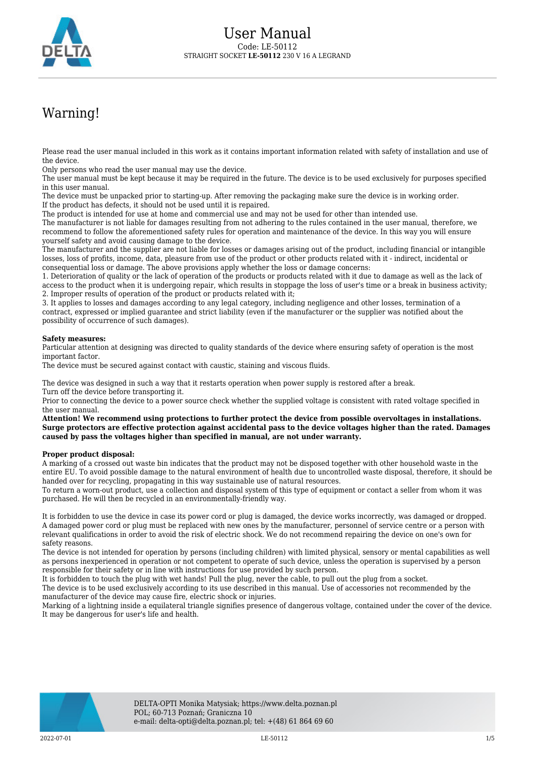

## Warning!

Please read the user manual included in this work as it contains important information related with safety of installation and use of the device.

Only persons who read the user manual may use the device.

The user manual must be kept because it may be required in the future. The device is to be used exclusively for purposes specified in this user manual.

The device must be unpacked prior to starting-up. After removing the packaging make sure the device is in working order. If the product has defects, it should not be used until it is repaired.

The product is intended for use at home and commercial use and may not be used for other than intended use.

The manufacturer is not liable for damages resulting from not adhering to the rules contained in the user manual, therefore, we recommend to follow the aforementioned safety rules for operation and maintenance of the device. In this way you will ensure yourself safety and avoid causing damage to the device.

The manufacturer and the supplier are not liable for losses or damages arising out of the product, including financial or intangible losses, loss of profits, income, data, pleasure from use of the product or other products related with it - indirect, incidental or consequential loss or damage. The above provisions apply whether the loss or damage concerns:

1. Deterioration of quality or the lack of operation of the products or products related with it due to damage as well as the lack of access to the product when it is undergoing repair, which results in stoppage the loss of user's time or a break in business activity; 2. Improper results of operation of the product or products related with it;

3. It applies to losses and damages according to any legal category, including negligence and other losses, termination of a contract, expressed or implied guarantee and strict liability (even if the manufacturer or the supplier was notified about the possibility of occurrence of such damages).

## **Safety measures:**

Particular attention at designing was directed to quality standards of the device where ensuring safety of operation is the most important factor.

The device must be secured against contact with caustic, staining and viscous fluids.

The device was designed in such a way that it restarts operation when power supply is restored after a break. Turn off the device before transporting it.

Prior to connecting the device to a power source check whether the supplied voltage is consistent with rated voltage specified in the user manual.

**Attention! We recommend using protections to further protect the device from possible overvoltages in installations. Surge protectors are effective protection against accidental pass to the device voltages higher than the rated. Damages caused by pass the voltages higher than specified in manual, are not under warranty.**

## **Proper product disposal:**

A marking of a crossed out waste bin indicates that the product may not be disposed together with other household waste in the entire EU. To avoid possible damage to the natural environment of health due to uncontrolled waste disposal, therefore, it should be handed over for recycling, propagating in this way sustainable use of natural resources.

To return a worn-out product, use a collection and disposal system of this type of equipment or contact a seller from whom it was purchased. He will then be recycled in an environmentally-friendly way.

It is forbidden to use the device in case its power cord or plug is damaged, the device works incorrectly, was damaged or dropped. A damaged power cord or plug must be replaced with new ones by the manufacturer, personnel of service centre or a person with relevant qualifications in order to avoid the risk of electric shock. We do not recommend repairing the device on one's own for safety reasons.

The device is not intended for operation by persons (including children) with limited physical, sensory or mental capabilities as well as persons inexperienced in operation or not competent to operate of such device, unless the operation is supervised by a person responsible for their safety or in line with instructions for use provided by such person.

It is forbidden to touch the plug with wet hands! Pull the plug, never the cable, to pull out the plug from a socket.

The device is to be used exclusively according to its use described in this manual. Use of accessories not recommended by the manufacturer of the device may cause fire, electric shock or injuries.

Marking of a lightning inside a equilateral triangle signifies presence of dangerous voltage, contained under the cover of the device. It may be dangerous for user's life and health.

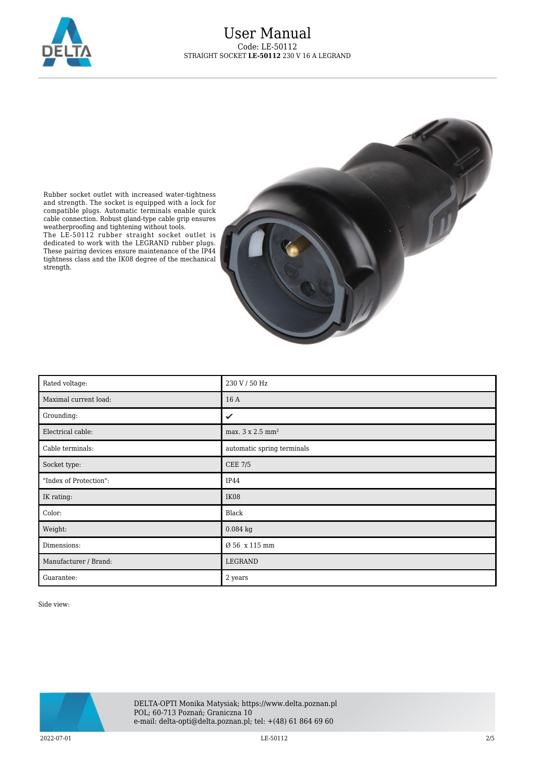



Rubber socket outlet with increased water-tightness and strength. The socket is equipped with a lock for compatible plugs. Automatic terminals enable quick cable connection. Robust gland-type cable grip ensures weatherproofing and tightening without tools.

The LE-50112 rubber straight socket outlet is dedicated to work with the LEGRAND rubber plugs. These pairing devices ensure maintenance of the IP44 tightness class and the IK08 degree of the mechanical strength.

| Rated voltage:         | 230 V / 50 Hz                |
|------------------------|------------------------------|
| Maximal current load:  | 16 A                         |
| Grounding:             | ✓                            |
| Electrical cable:      | max. 3 x 2.5 mm <sup>2</sup> |
| Cable terminals:       | automatic spring terminals   |
| Socket type:           | <b>CEE 7/5</b>               |
| "Index of Protection": | IP44                         |
| IK rating:             | IK08                         |
| Color:                 | Black                        |
| Weight:                | $0.084$ kg                   |
| Dimensions:            | Ø 56 x 115 mm                |
| Manufacturer / Brand:  | LEGRAND                      |
| Guarantee:             | 2 years                      |

Side view:

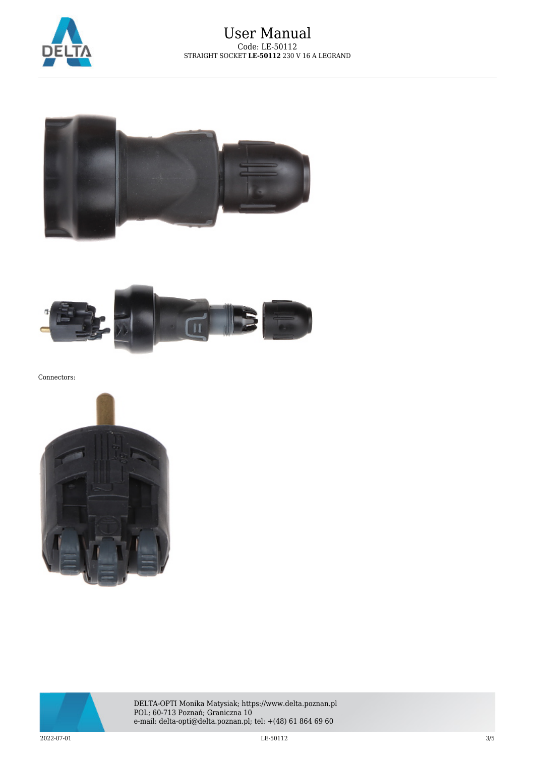





Connectors:





DELTA-OPTI Monika Matysiak; https://www.delta.poznan.pl POL; 60-713 Poznań; Graniczna 10 e-mail: delta-opti@delta.poznan.pl; tel: +(48) 61 864 69 60

 $\rm LE\text{-}50112$   $\rm \rm LE\text{-}50112$   $\rm \rm 3/5$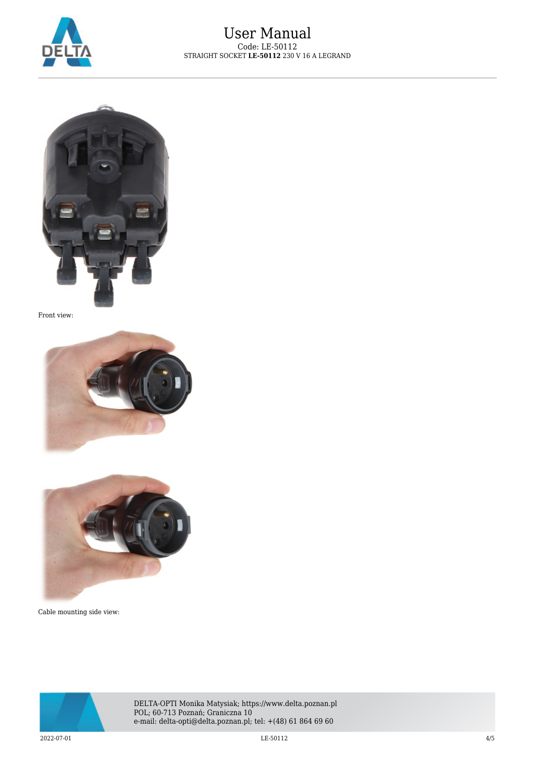



Front view:





Cable mounting side view:



DELTA-OPTI Monika Matysiak; https://www.delta.poznan.pl POL; 60-713 Poznań; Graniczna 10 e-mail: delta-opti@delta.poznan.pl; tel: +(48) 61 864 69 60

2022-07-01 LE-50112 4/5